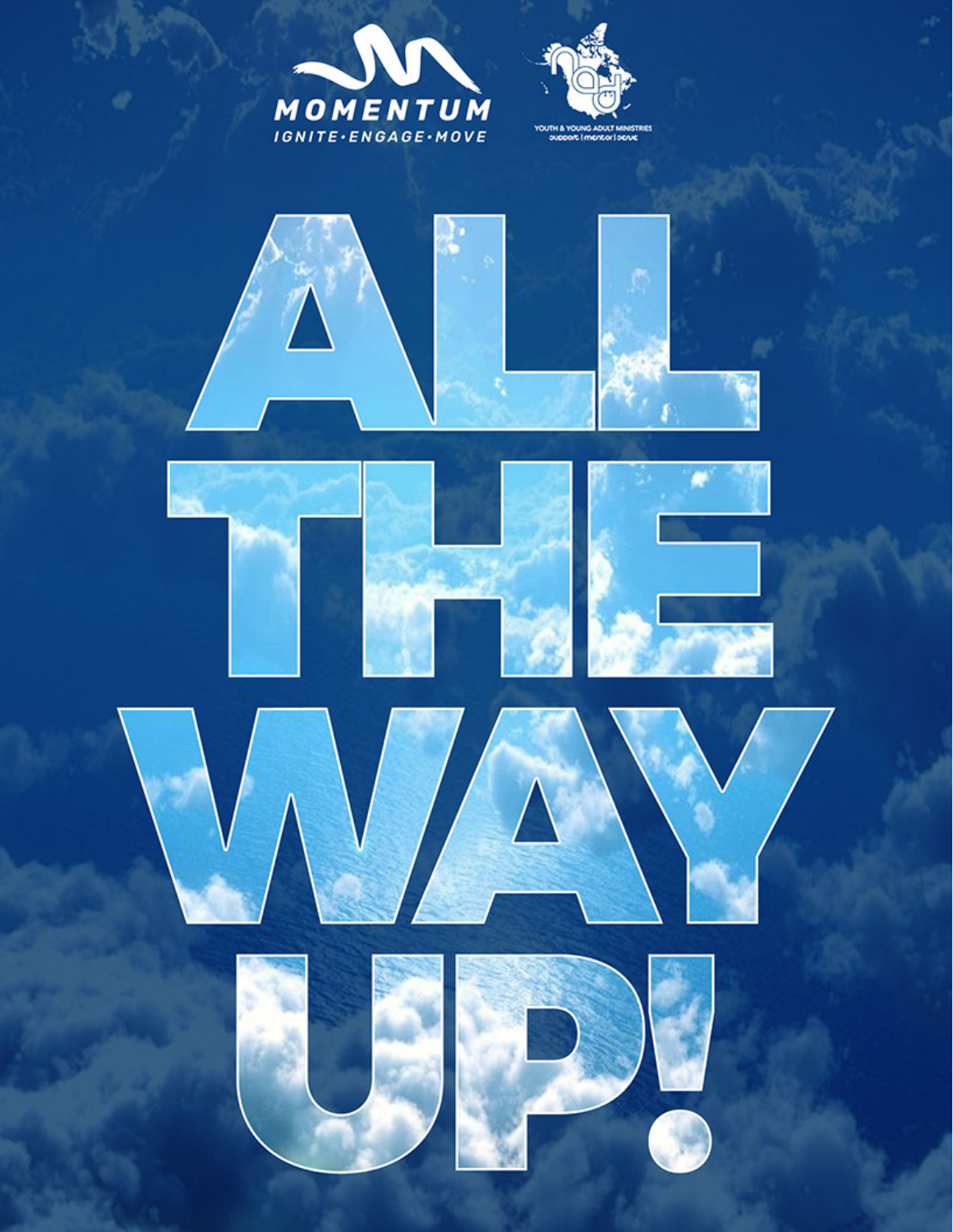











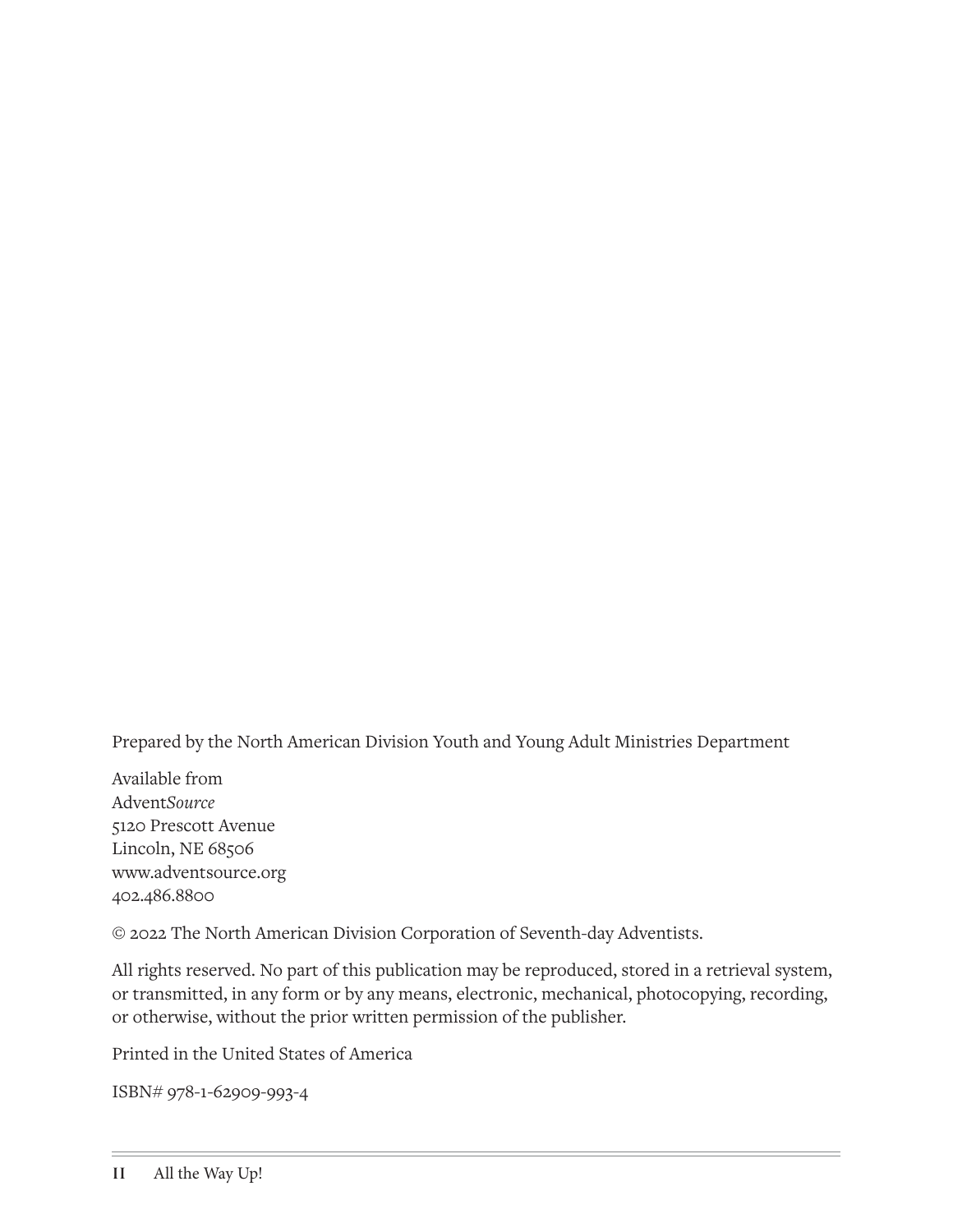Prepared by the North American Division Youth and Young Adult Ministries Department

Available from Advent*Source* 5120 Prescott Avenue Lincoln, NE 68506 www.adventsource.org 402.486.8800

© 2022 The North American Division Corporation of Seventh-day Adventists.

All rights reserved. No part of this publication may be reproduced, stored in a retrieval system, or transmitted, in any form or by any means, electronic, mechanical, photocopying, recording, or otherwise, without the prior written permission of the publisher.

Printed in the United States of America

ISBN# 978-1-62909-993-4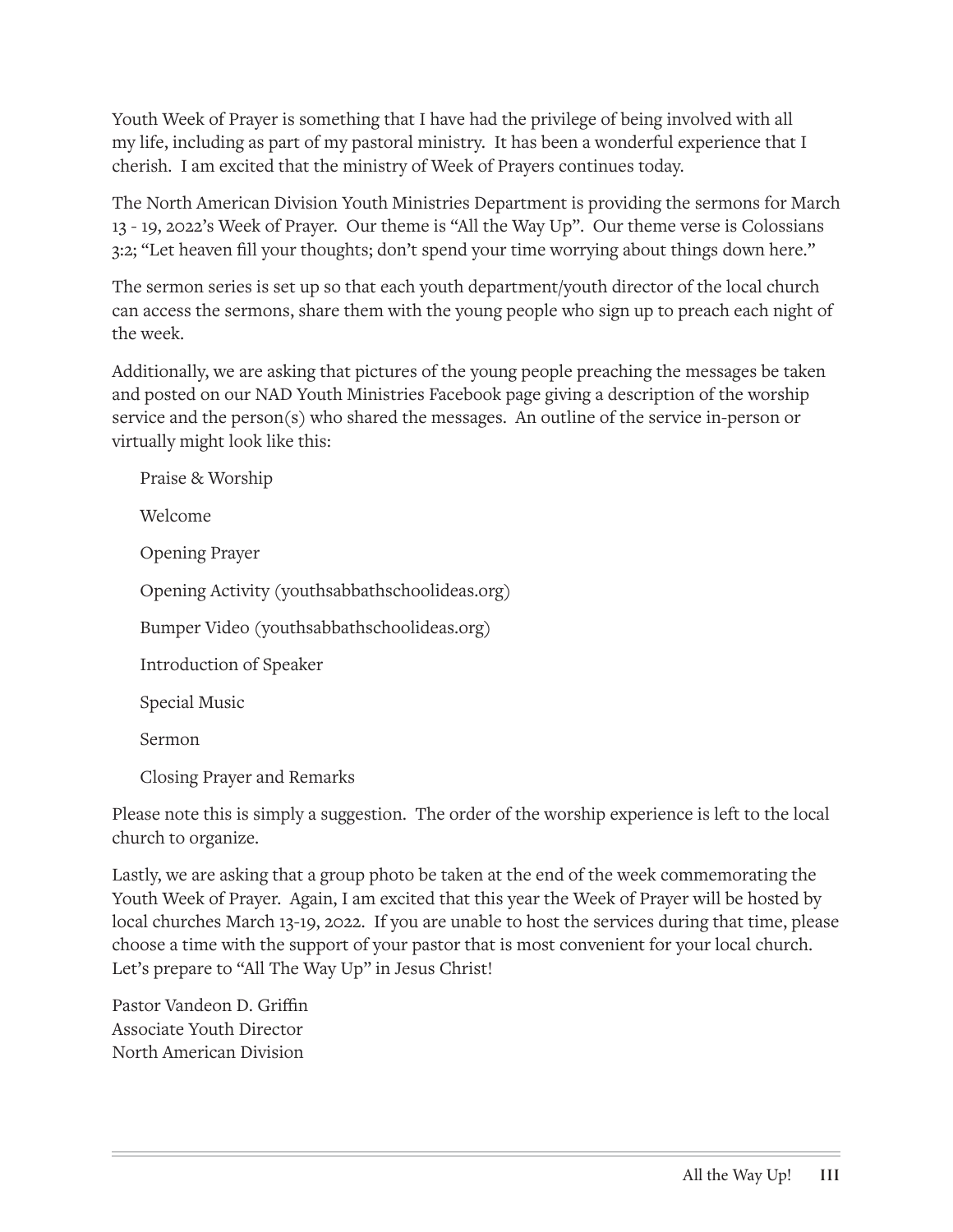Youth Week of Prayer is something that I have had the privilege of being involved with all my life, including as part of my pastoral ministry. It has been a wonderful experience that I cherish. I am excited that the ministry of Week of Prayers continues today.

The North American Division Youth Ministries Department is providing the sermons for March 13 - 19, 2022's Week of Prayer. Our theme is "All the Way Up". Our theme verse is Colossians 3:2; "Let heaven fill your thoughts; don't spend your time worrying about things down here."

The sermon series is set up so that each youth department/youth director of the local church can access the sermons, share them with the young people who sign up to preach each night of the week.

Additionally, we are asking that pictures of the young people preaching the messages be taken and posted on our NAD Youth Ministries Facebook page giving a description of the worship service and the person(s) who shared the messages. An outline of the service in-person or virtually might look like this:

| Praise & Worship                               |
|------------------------------------------------|
| Welcome                                        |
| <b>Opening Prayer</b>                          |
| Opening Activity (youthsabbathschoolideas.org) |
| Bumper Video (youthsabbathschoolideas.org)     |
| Introduction of Speaker                        |
| Special Music                                  |
| Sermon                                         |
| Closing Prayer and Remarks                     |
|                                                |

Please note this is simply a suggestion. The order of the worship experience is left to the local church to organize.

Lastly, we are asking that a group photo be taken at the end of the week commemorating the Youth Week of Prayer. Again, I am excited that this year the Week of Prayer will be hosted by local churches March 13-19, 2022. If you are unable to host the services during that time, please choose a time with the support of your pastor that is most convenient for your local church. Let's prepare to "All The Way Up" in Jesus Christ!

Pastor Vandeon D. Griffin Associate Youth Director North American Division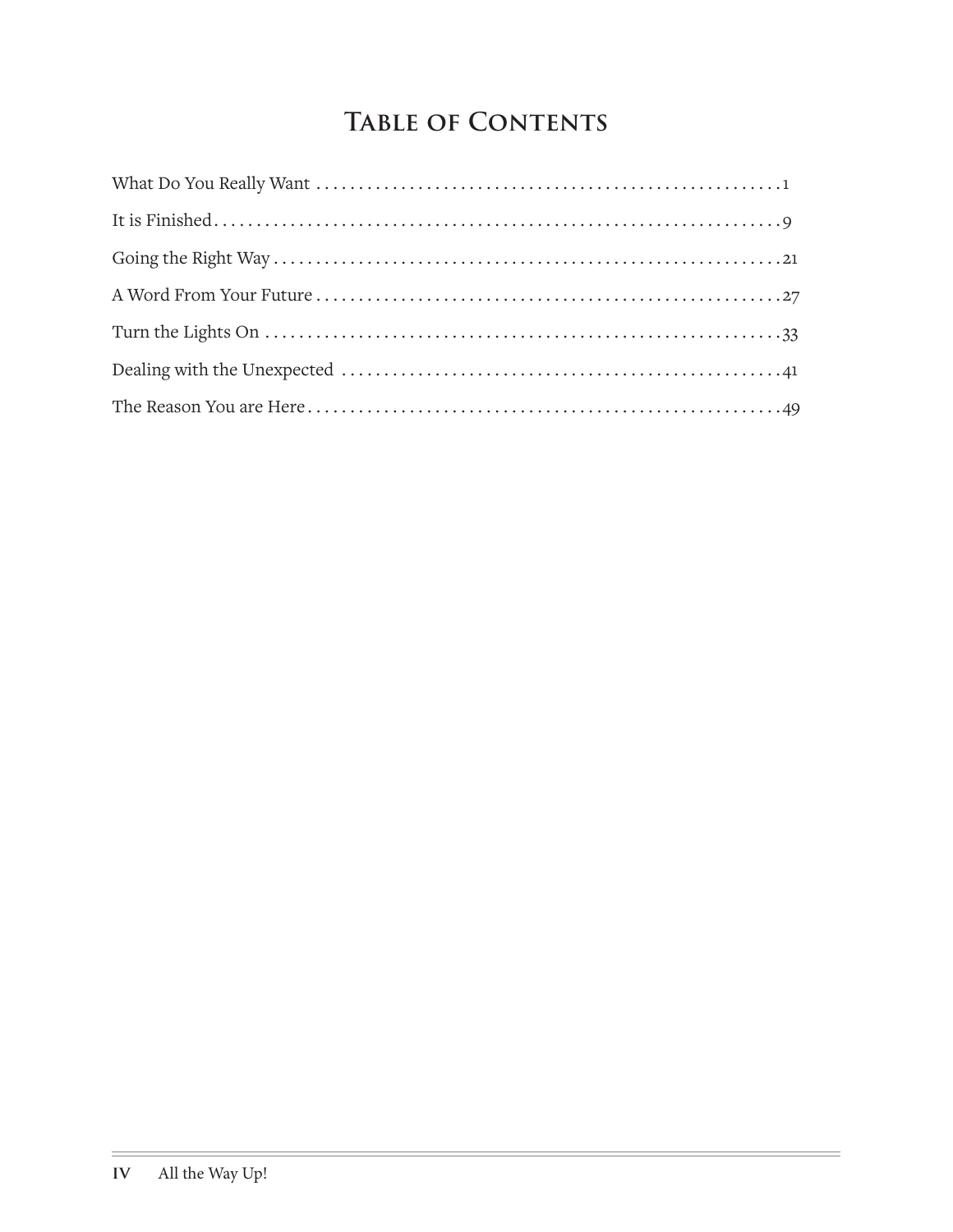# **Table of Contents**

 $\equiv$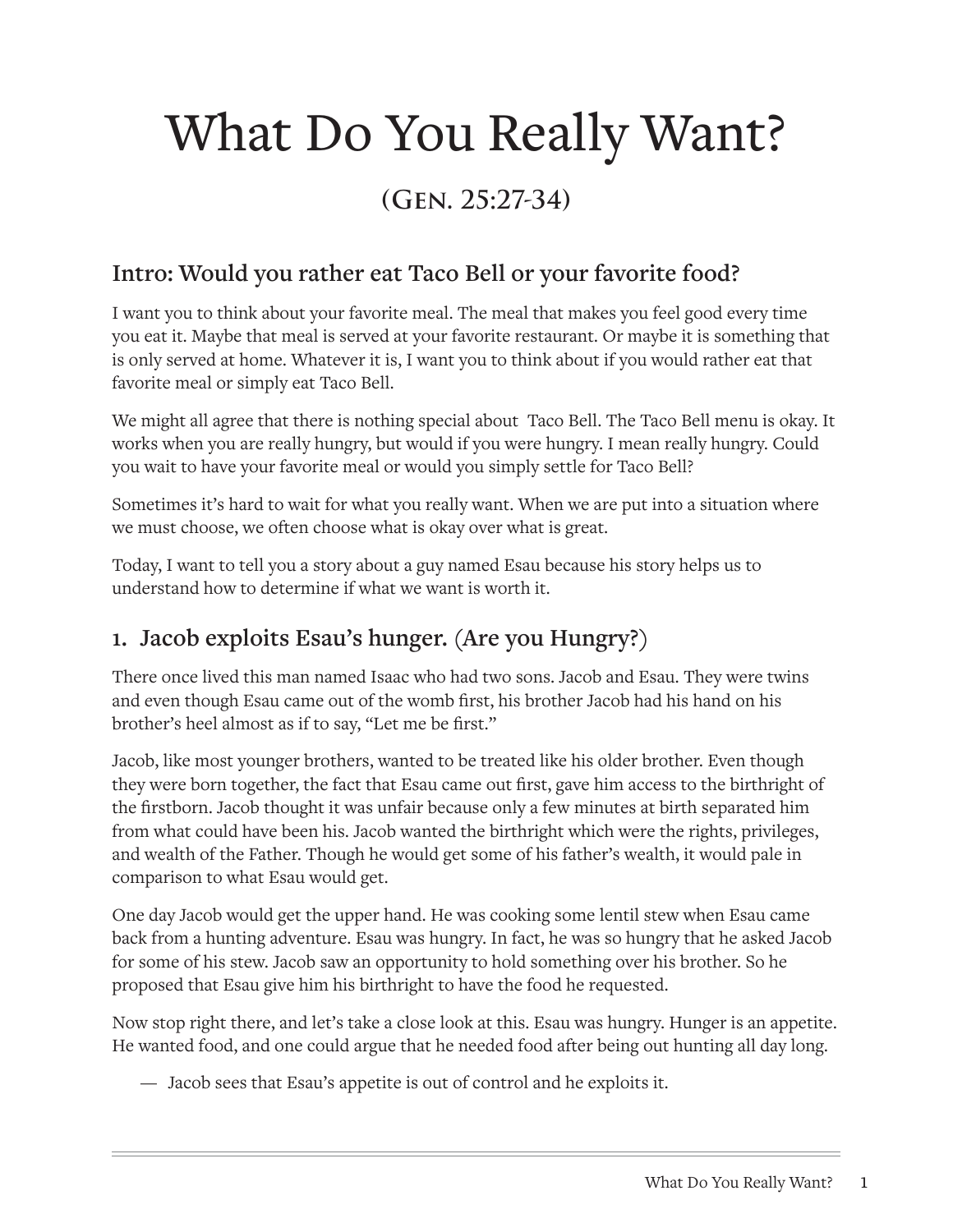# What Do You Really Want?

# **(Gen. 25:27-34)**

#### **Intro: Would you rather eat Taco Bell or your favorite food?**

I want you to think about your favorite meal. The meal that makes you feel good every time you eat it. Maybe that meal is served at your favorite restaurant. Or maybe it is something that is only served at home. Whatever it is, I want you to think about if you would rather eat that favorite meal or simply eat Taco Bell.

We might all agree that there is nothing special about Taco Bell. The Taco Bell menu is okay. It works when you are really hungry, but would if you were hungry. I mean really hungry. Could you wait to have your favorite meal or would you simply settle for Taco Bell?

Sometimes it's hard to wait for what you really want. When we are put into a situation where we must choose, we often choose what is okay over what is great.

Today, I want to tell you a story about a guy named Esau because his story helps us to understand how to determine if what we want is worth it.

### **1. Jacob exploits Esau's hunger. (Are you Hungry?)**

There once lived this man named Isaac who had two sons. Jacob and Esau. They were twins and even though Esau came out of the womb first, his brother Jacob had his hand on his brother's heel almost as if to say, "Let me be first."

Jacob, like most younger brothers, wanted to be treated like his older brother. Even though they were born together, the fact that Esau came out first, gave him access to the birthright of the firstborn. Jacob thought it was unfair because only a few minutes at birth separated him from what could have been his. Jacob wanted the birthright which were the rights, privileges, and wealth of the Father. Though he would get some of his father's wealth, it would pale in comparison to what Esau would get.

One day Jacob would get the upper hand. He was cooking some lentil stew when Esau came back from a hunting adventure. Esau was hungry. In fact, he was so hungry that he asked Jacob for some of his stew. Jacob saw an opportunity to hold something over his brother. So he proposed that Esau give him his birthright to have the food he requested.

Now stop right there, and let's take a close look at this. Esau was hungry. Hunger is an appetite. He wanted food, and one could argue that he needed food after being out hunting all day long.

— Jacob sees that Esau's appetite is out of control and he exploits it.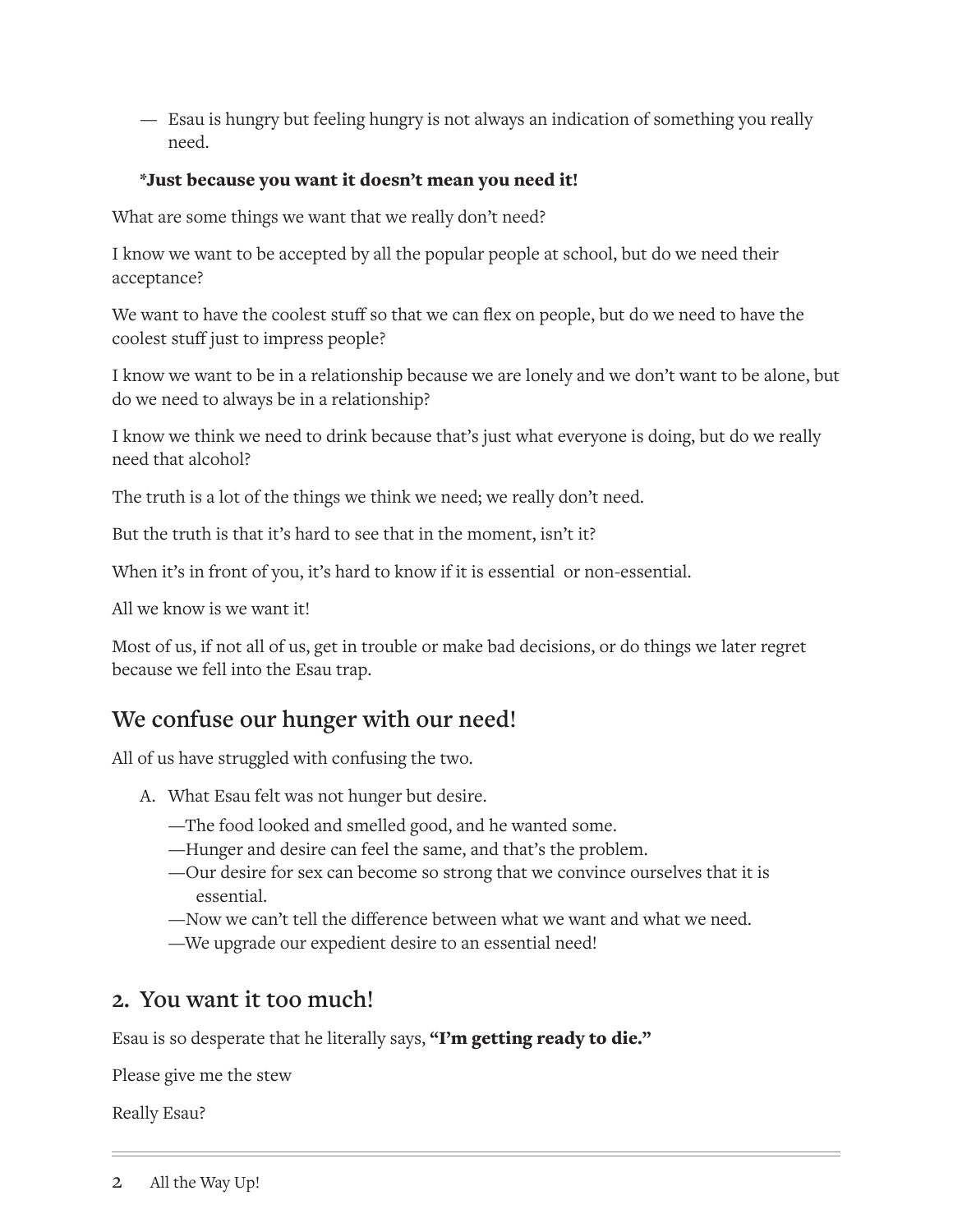— Esau is hungry but feeling hungry is not always an indication of something you really need.

#### \*Just because you want it doesn't mean you need it!

What are some things we want that we really don't need?

I know we want to be accepted by all the popular people at school, but do we need their acceptance?

We want to have the coolest stuff so that we can flex on people, but do we need to have the coolest stuff just to impress people?

I know we want to be in a relationship because we are lonely and we don't want to be alone, but do we need to always be in a relationship?

I know we think we need to drink because that's just what everyone is doing, but do we really need that alcohol?

The truth is a lot of the things we think we need; we really don't need.

But the truth is that it's hard to see that in the moment, isn't it?

When it's in front of you, it's hard to know if it is essential or non-essential.

All we know is we want it!

Most of us, if not all of us, get in trouble or make bad decisions, or do things we later regret because we fell into the Esau trap.

#### **We confuse our hunger with our need!**

All of us have struggled with confusing the two.

- A. What Esau felt was not hunger but desire.
	- —The food looked and smelled good, and he wanted some.
	- —Hunger and desire can feel the same, and that's the problem.
	- —Our desire for sex can become so strong that we convince ourselves that it is essential.
	- —Now we can't tell the difference between what we want and what we need.
	- —We upgrade our expedient desire to an essential need!

#### **2. You want it too much!**

Esau is so desperate that he literally says, "I'm getting ready to die."

Please give me the stew

Really Esau?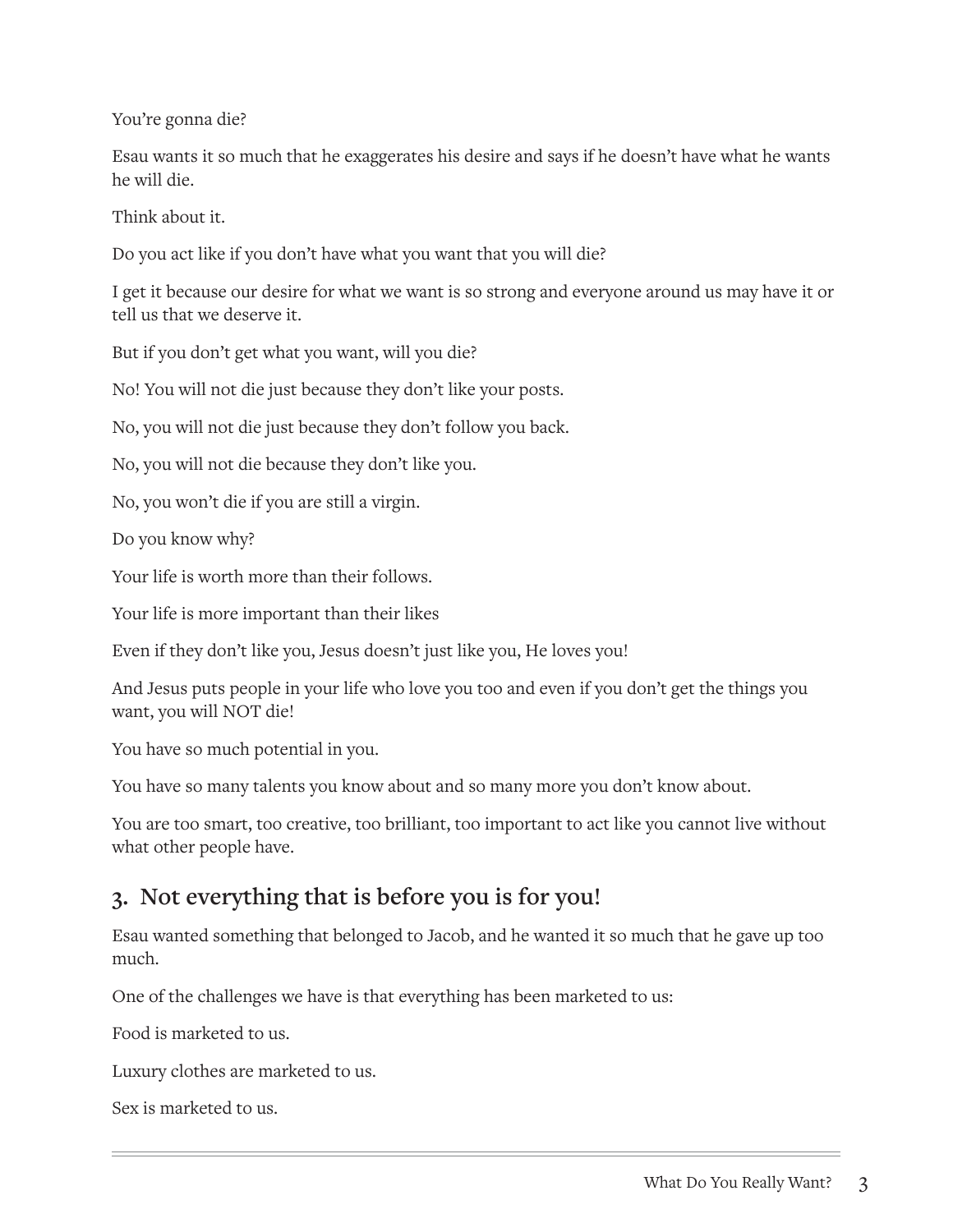You're gonna die?

Esau wants it so much that he exaggerates his desire and says if he doesn't have what he wants he will die.

Think about it.

Do you act like if you don't have what you want that you will die?

I get it because our desire for what we want is so strong and everyone around us may have it or tell us that we deserve it.

But if you don't get what you want, will you die?

No! You will not die just because they don't like your posts.

No, you will not die just because they don't follow you back.

No, you will not die because they don't like you.

No, you won't die if you are still a virgin.

Do you know why?

Your life is worth more than their follows.

Your life is more important than their likes

Even if they don't like you, Jesus doesn't just like you, He loves you!

And Jesus puts people in your life who love you too and even if you don't get the things you want, you will NOT die!

You have so much potential in you.

You have so many talents you know about and so many more you don't know about.

You are too smart, too creative, too brilliant, too important to act like you cannot live without what other people have.

### **3. Not everything that is before you is for you!**

Esau wanted something that belonged to Jacob, and he wanted it so much that he gave up too much.

One of the challenges we have is that everything has been marketed to us:

Food is marketed to us.

Luxury clothes are marketed to us.

Sex is marketed to us.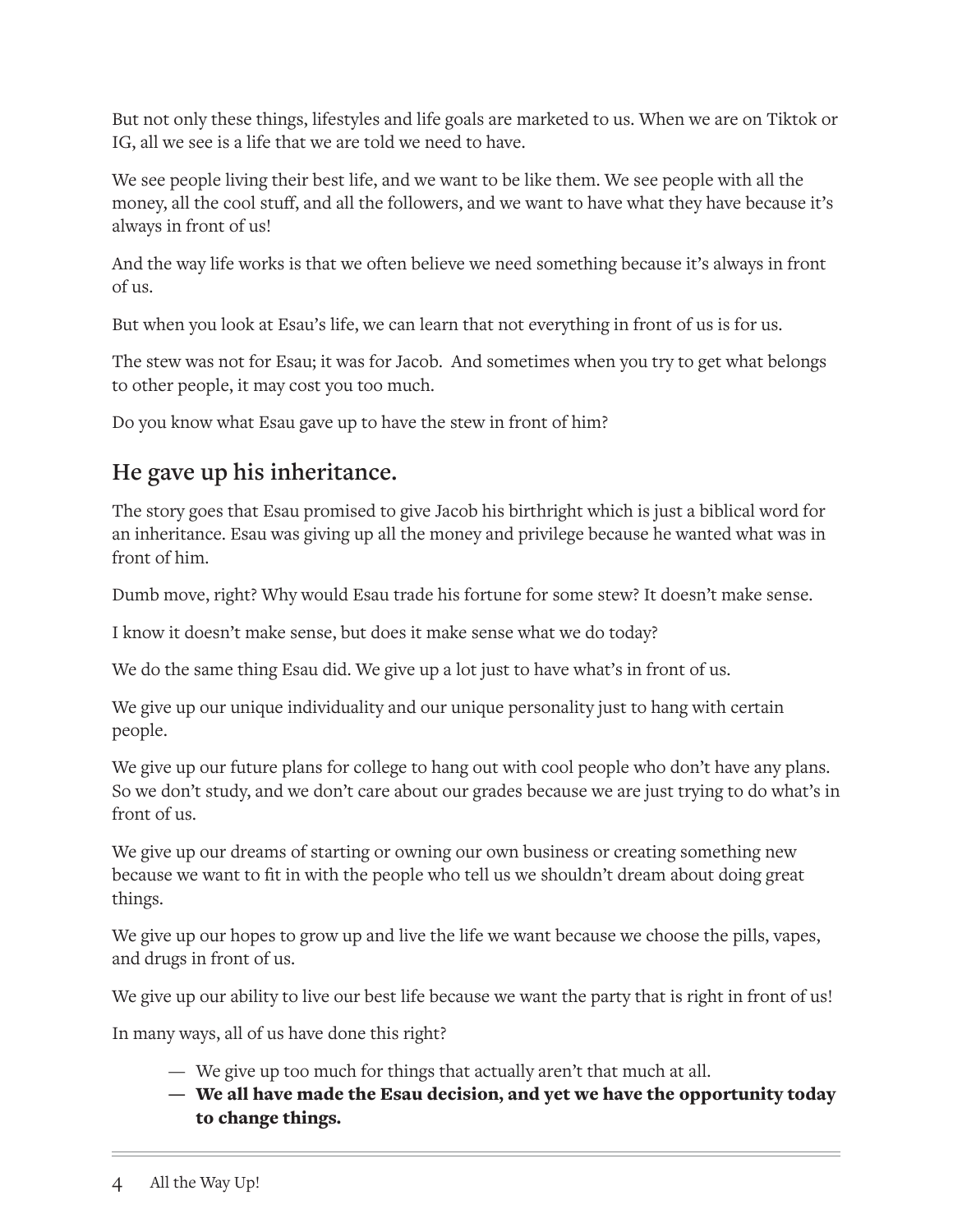But not only these things, lifestyles and life goals are marketed to us. When we are on Tiktok or IG, all we see is a life that we are told we need to have.

We see people living their best life, and we want to be like them. We see people with all the money, all the cool stuff, and all the followers, and we want to have what they have because it's always in front of us!

And the way life works is that we often believe we need something because it's always in front of us.

But when you look at Esau's life, we can learn that not everything in front of us is for us.

The stew was not for Esau; it was for Jacob. And sometimes when you try to get what belongs to other people, it may cost you too much.

Do you know what Esau gave up to have the stew in front of him?

### **He gave up his inheritance.**

The story goes that Esau promised to give Jacob his birthright which is just a biblical word for an inheritance. Esau was giving up all the money and privilege because he wanted what was in front of him.

Dumb move, right? Why would Esau trade his fortune for some stew? It doesn't make sense.

I know it doesn't make sense, but does it make sense what we do today?

We do the same thing Esau did. We give up a lot just to have what's in front of us.

We give up our unique individuality and our unique personality just to hang with certain people.

We give up our future plans for college to hang out with cool people who don't have any plans. So we don't study, and we don't care about our grades because we are just trying to do what's in front of us.

We give up our dreams of starting or owning our own business or creating something new because we want to fit in with the people who tell us we shouldn't dream about doing great things.

We give up our hopes to grow up and live the life we want because we choose the pills, vapes, and drugs in front of us.

We give up our ability to live our best life because we want the party that is right in front of us!

In many ways, all of us have done this right?

- We give up too much for things that actually aren't that much at all.
- We all have made the Esau decision, and yet we have the opportunity today to change things.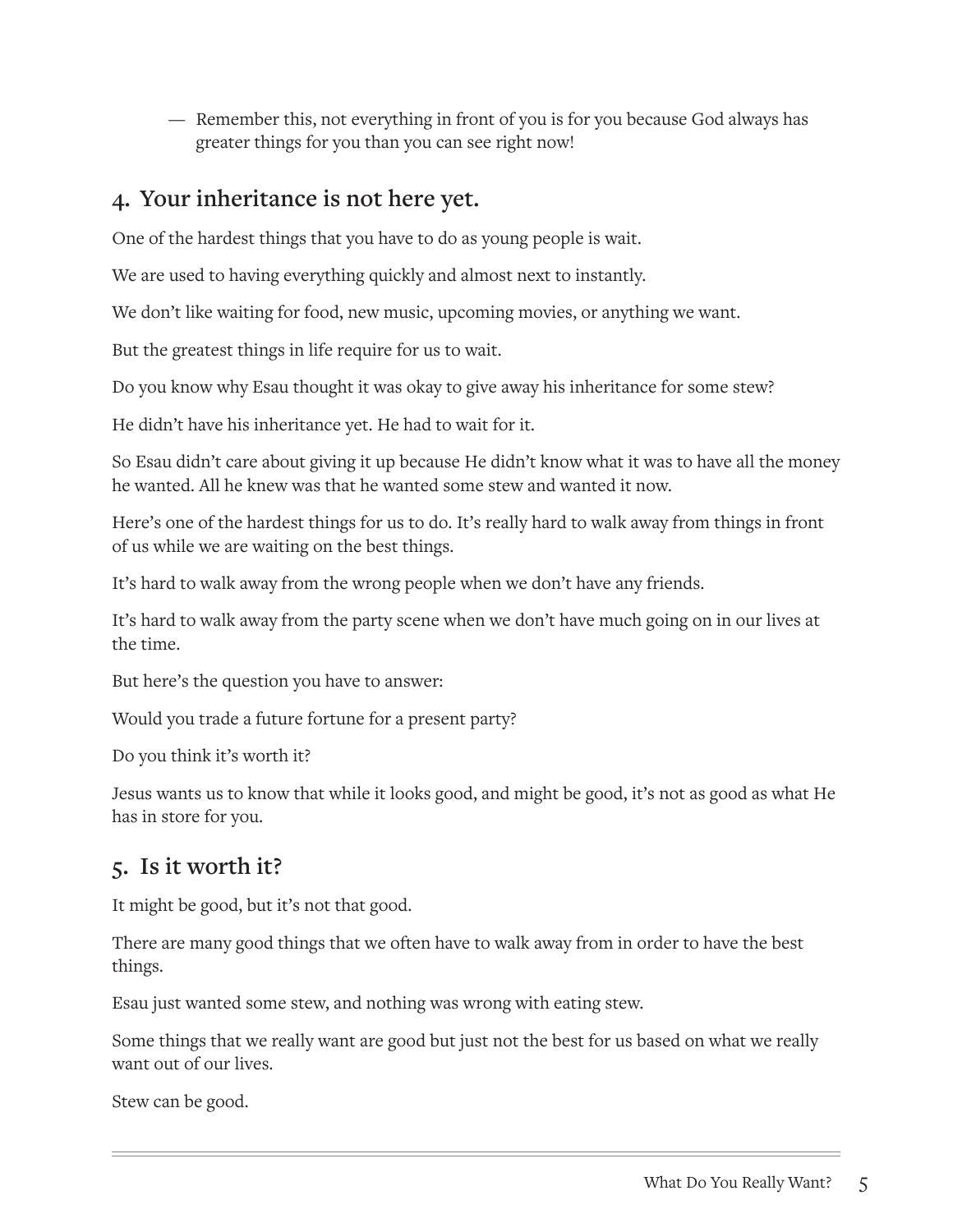— Remember this, not everything in front of you is for you because God always has greater things for you than you can see right now!

#### **4. Your inheritance is not here yet.**

One of the hardest things that you have to do as young people is wait.

We are used to having everything quickly and almost next to instantly.

We don't like waiting for food, new music, upcoming movies, or anything we want.

But the greatest things in life require for us to wait.

Do you know why Esau thought it was okay to give away his inheritance for some stew?

He didn't have his inheritance yet. He had to wait for it.

So Esau didn't care about giving it up because He didn't know what it was to have all the money he wanted. All he knew was that he wanted some stew and wanted it now.

Here's one of the hardest things for us to do. It's really hard to walk away from things in front of us while we are waiting on the best things.

It's hard to walk away from the wrong people when we don't have any friends.

It's hard to walk away from the party scene when we don't have much going on in our lives at the time.

But here's the question you have to answer:

Would you trade a future fortune for a present party?

Do you think it's worth it?

Jesus wants us to know that while it looks good, and might be good, it's not as good as what He has in store for you.

#### **5. Is it worth it?**

It might be good, but it's not that good.

There are many good things that we often have to walk away from in order to have the best things.

Esau just wanted some stew, and nothing was wrong with eating stew.

Some things that we really want are good but just not the best for us based on what we really want out of our lives.

Stew can be good.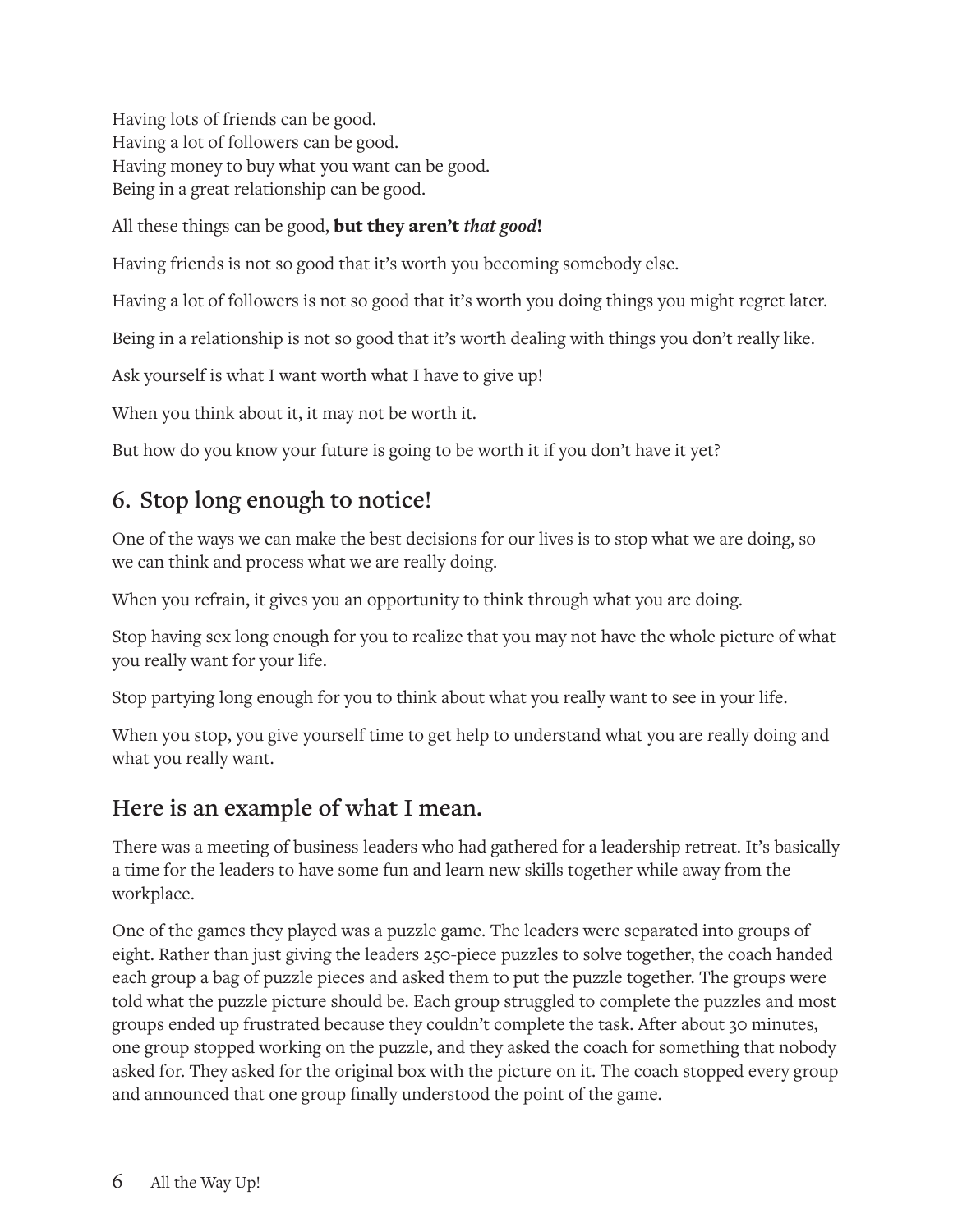Having lots of friends can be good. Having a lot of followers can be good. Having money to buy what you want can be good. Being in a great relationship can be good.

All these things can be good, but they aren't *that good*!

Having friends is not so good that it's worth you becoming somebody else.

Having a lot of followers is not so good that it's worth you doing things you might regret later.

Being in a relationship is not so good that it's worth dealing with things you don't really like.

Ask yourself is what I want worth what I have to give up!

When you think about it, it may not be worth it.

But how do you know your future is going to be worth it if you don't have it yet?

## **6. Stop long enough to notice!**

One of the ways we can make the best decisions for our lives is to stop what we are doing, so we can think and process what we are really doing.

When you refrain, it gives you an opportunity to think through what you are doing.

Stop having sex long enough for you to realize that you may not have the whole picture of what you really want for your life.

Stop partying long enough for you to think about what you really want to see in your life.

When you stop, you give yourself time to get help to understand what you are really doing and what you really want.

### **Here is an example of what I mean.**

There was a meeting of business leaders who had gathered for a leadership retreat. It's basically a time for the leaders to have some fun and learn new skills together while away from the workplace.

One of the games they played was a puzzle game. The leaders were separated into groups of eight. Rather than just giving the leaders 250-piece puzzles to solve together, the coach handed each group a bag of puzzle pieces and asked them to put the puzzle together. The groups were told what the puzzle picture should be. Each group struggled to complete the puzzles and most groups ended up frustrated because they couldn't complete the task. After about 30 minutes, one group stopped working on the puzzle, and they asked the coach for something that nobody asked for. They asked for the original box with the picture on it. The coach stopped every group and announced that one group finally understood the point of the game.